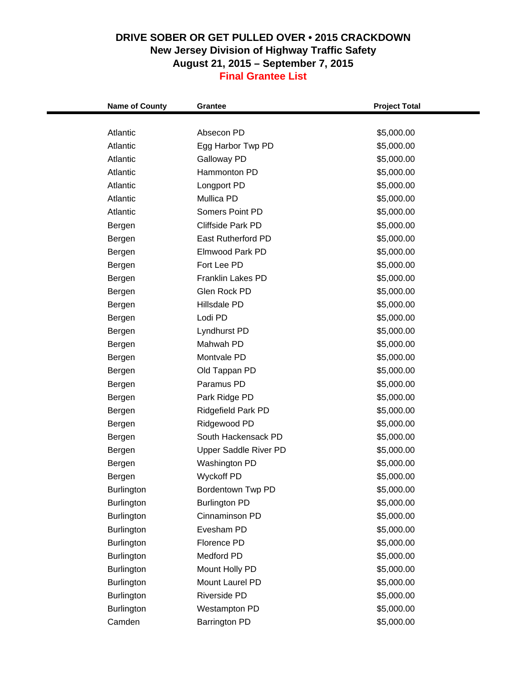| <b>Name of County</b> | Grantee                      | <b>Project Total</b>     |
|-----------------------|------------------------------|--------------------------|
| Atlantic              | Absecon PD                   | \$5,000.00               |
| Atlantic              | Egg Harbor Twp PD            | \$5,000.00               |
| Atlantic              | Galloway PD                  | \$5,000.00               |
| Atlantic              | Hammonton PD                 | \$5,000.00               |
| Atlantic              | Longport PD                  | \$5,000.00               |
| Atlantic              | Mullica PD                   | \$5,000.00               |
| Atlantic              | Somers Point PD              | \$5,000.00               |
|                       | <b>Cliffside Park PD</b>     |                          |
| Bergen                | <b>East Rutherford PD</b>    | \$5,000.00<br>\$5,000.00 |
| Bergen                | Elmwood Park PD              |                          |
| Bergen                | Fort Lee PD                  | \$5,000.00               |
| Bergen                | <b>Franklin Lakes PD</b>     | \$5,000.00               |
| Bergen                |                              | \$5,000.00               |
| Bergen                | Glen Rock PD                 | \$5,000.00               |
| Bergen                | Hillsdale PD                 | \$5,000.00               |
| Bergen                | Lodi PD                      | \$5,000.00               |
| Bergen                | Lyndhurst PD                 | \$5,000.00               |
| Bergen                | Mahwah PD                    | \$5,000.00               |
| Bergen                | Montvale PD                  | \$5,000.00               |
| Bergen                | Old Tappan PD                | \$5,000.00               |
| Bergen                | Paramus PD                   | \$5,000.00               |
| Bergen                | Park Ridge PD                | \$5,000.00               |
| Bergen                | Ridgefield Park PD           | \$5,000.00               |
| Bergen                | Ridgewood PD                 | \$5,000.00               |
| Bergen                | South Hackensack PD          | \$5,000.00               |
| Bergen                | <b>Upper Saddle River PD</b> | \$5,000.00               |
| Bergen                | Washington PD                | \$5,000.00               |
| Bergen                | <b>Wyckoff PD</b>            | \$5,000.00               |
| Burlington            | Bordentown Twp PD            | \$5,000.00               |
| Burlington            | <b>Burlington PD</b>         | \$5,000.00               |
| <b>Burlington</b>     | Cinnaminson PD               | \$5,000.00               |
| Burlington            | Evesham PD                   | \$5,000.00               |
| <b>Burlington</b>     | Florence PD                  | \$5,000.00               |
| Burlington            | Medford PD                   | \$5,000.00               |
| <b>Burlington</b>     | Mount Holly PD               | \$5,000.00               |
| <b>Burlington</b>     | Mount Laurel PD              | \$5,000.00               |
| Burlington            | Riverside PD                 | \$5,000.00               |
| Burlington            | Westampton PD                | \$5,000.00               |
| Camden                | <b>Barrington PD</b>         | \$5,000.00               |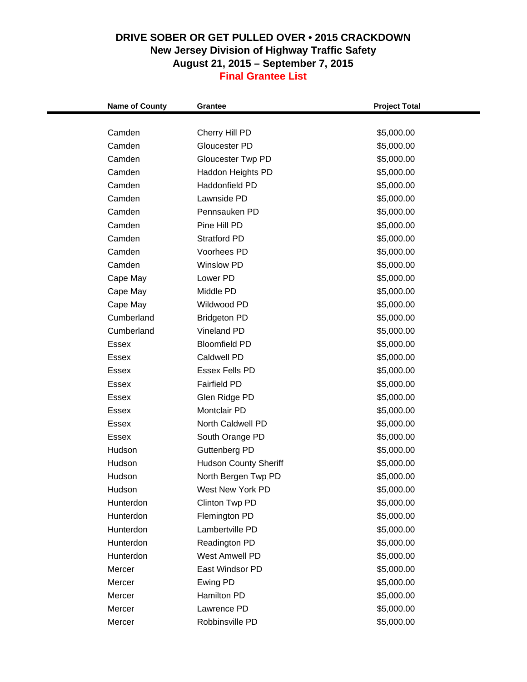| <b>Name of County</b> | <b>Grantee</b>               | <b>Project Total</b> |
|-----------------------|------------------------------|----------------------|
|                       |                              |                      |
| Camden                | Cherry Hill PD               | \$5,000.00           |
| Camden                | Gloucester PD                | \$5,000.00           |
| Camden                | <b>Gloucester Twp PD</b>     | \$5,000.00           |
| Camden                | Haddon Heights PD            | \$5,000.00           |
| Camden                | Haddonfield PD               | \$5,000.00           |
| Camden                | Lawnside PD                  | \$5,000.00           |
| Camden                | Pennsauken PD                | \$5,000.00           |
| Camden                | Pine Hill PD                 | \$5,000.00           |
| Camden                | <b>Stratford PD</b>          | \$5,000.00           |
| Camden                | Voorhees PD                  | \$5,000.00           |
| Camden                | <b>Winslow PD</b>            | \$5,000.00           |
| Cape May              | Lower PD                     | \$5,000.00           |
| Cape May              | Middle PD                    | \$5,000.00           |
| Cape May              | Wildwood PD                  | \$5,000.00           |
| Cumberland            | <b>Bridgeton PD</b>          | \$5,000.00           |
| Cumberland            | <b>Vineland PD</b>           | \$5,000.00           |
| <b>Essex</b>          | <b>Bloomfield PD</b>         | \$5,000.00           |
| Essex                 | Caldwell PD                  | \$5,000.00           |
| Essex                 | <b>Essex Fells PD</b>        | \$5,000.00           |
| <b>Essex</b>          | <b>Fairfield PD</b>          | \$5,000.00           |
| Essex                 | Glen Ridge PD                | \$5,000.00           |
| Essex                 | Montclair PD                 | \$5,000.00           |
| <b>Essex</b>          | North Caldwell PD            | \$5,000.00           |
| Essex                 | South Orange PD              | \$5,000.00           |
| Hudson                | Guttenberg PD                | \$5,000.00           |
| Hudson                | <b>Hudson County Sheriff</b> | \$5,000.00           |
| Hudson                | North Bergen Twp PD          | \$5,000.00           |
| Hudson                | West New York PD             | \$5,000.00           |
| Hunterdon             | Clinton Twp PD               | \$5,000.00           |
| Hunterdon             | Flemington PD                | \$5,000.00           |
| Hunterdon             | Lambertville PD              | \$5,000.00           |
| Hunterdon             | Readington PD                | \$5,000.00           |
| Hunterdon             | West Amwell PD               | \$5,000.00           |
| Mercer                | East Windsor PD              | \$5,000.00           |
| Mercer                | Ewing PD                     | \$5,000.00           |
| Mercer                | Hamilton PD                  | \$5,000.00           |
| Mercer                | Lawrence PD                  | \$5,000.00           |
| Mercer                | Robbinsville PD              | \$5,000.00           |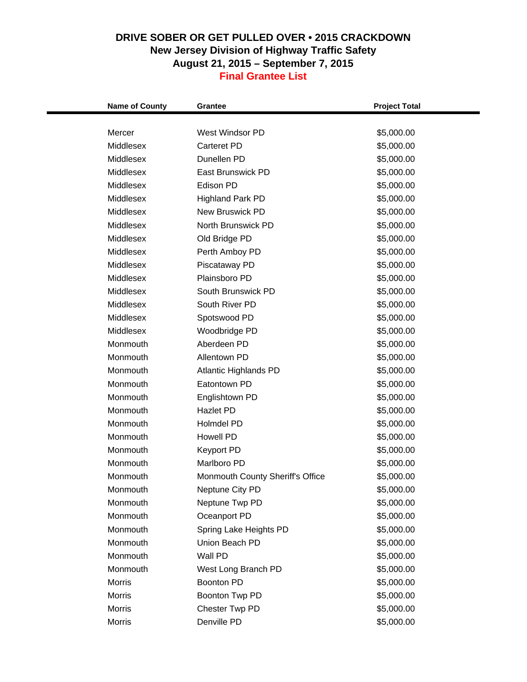| Mercer<br>West Windsor PD<br>\$5,000.00<br>Middlesex<br><b>Carteret PD</b><br>\$5,000.00<br>Dunellen PD<br>Middlesex<br>\$5,000.00<br>Middlesex<br>East Brunswick PD<br>\$5,000.00<br>Middlesex<br>Edison PD<br>\$5,000.00<br>Middlesex<br><b>Highland Park PD</b><br>\$5,000.00<br><b>New Bruswick PD</b><br>Middlesex<br>\$5,000.00<br>Middlesex<br>North Brunswick PD<br>\$5,000.00<br>Middlesex<br>Old Bridge PD<br>\$5,000.00<br>Middlesex<br>Perth Amboy PD<br>\$5,000.00<br>Middlesex<br>\$5,000.00<br>Piscataway PD<br>Plainsboro PD<br>Middlesex<br>\$5,000.00<br>Middlesex<br>South Brunswick PD<br>\$5,000.00<br>Middlesex<br>South River PD<br>\$5,000.00<br>Middlesex<br>Spotswood PD<br>\$5,000.00<br>Middlesex<br>Woodbridge PD<br>\$5,000.00<br>Monmouth<br>Aberdeen PD<br>\$5,000.00<br>Monmouth<br>Allentown PD<br>\$5,000.00<br>Monmouth<br><b>Atlantic Highlands PD</b><br>\$5,000.00<br>Monmouth<br>Eatontown PD<br>\$5,000.00<br>Monmouth<br>Englishtown PD<br>\$5,000.00<br>Monmouth<br>Hazlet PD<br>\$5,000.00<br>Monmouth<br>Holmdel PD<br>\$5,000.00<br>Monmouth<br><b>Howell PD</b><br>\$5,000.00<br>Monmouth<br>Keyport PD<br>\$5,000.00<br>Monmouth<br>Marlboro PD<br>\$5,000.00<br>Monmouth<br>Monmouth County Sheriff's Office<br>\$5,000.00<br>\$5,000.00<br>Monmouth<br>Neptune City PD<br>Monmouth<br>Neptune Twp PD<br>\$5,000.00<br>Monmouth<br>Oceanport PD<br>\$5,000.00<br>Monmouth<br>Spring Lake Heights PD<br>\$5,000.00<br>Monmouth<br>Union Beach PD<br>\$5,000.00<br>Monmouth<br>Wall PD<br>\$5,000.00<br>Monmouth<br>\$5,000.00<br>West Long Branch PD<br><b>Morris</b><br>\$5,000.00<br><b>Boonton PD</b><br><b>Morris</b><br>Boonton Twp PD<br>\$5,000.00<br>Chester Twp PD<br>\$5,000.00<br>Morris | <b>Name of County</b> | <b>Grantee</b> | <b>Project Total</b> |  |
|-----------------------------------------------------------------------------------------------------------------------------------------------------------------------------------------------------------------------------------------------------------------------------------------------------------------------------------------------------------------------------------------------------------------------------------------------------------------------------------------------------------------------------------------------------------------------------------------------------------------------------------------------------------------------------------------------------------------------------------------------------------------------------------------------------------------------------------------------------------------------------------------------------------------------------------------------------------------------------------------------------------------------------------------------------------------------------------------------------------------------------------------------------------------------------------------------------------------------------------------------------------------------------------------------------------------------------------------------------------------------------------------------------------------------------------------------------------------------------------------------------------------------------------------------------------------------------------------------------------------------------------------------------------------------------------------------------------------------------------------------------|-----------------------|----------------|----------------------|--|
|                                                                                                                                                                                                                                                                                                                                                                                                                                                                                                                                                                                                                                                                                                                                                                                                                                                                                                                                                                                                                                                                                                                                                                                                                                                                                                                                                                                                                                                                                                                                                                                                                                                                                                                                                     |                       |                |                      |  |
|                                                                                                                                                                                                                                                                                                                                                                                                                                                                                                                                                                                                                                                                                                                                                                                                                                                                                                                                                                                                                                                                                                                                                                                                                                                                                                                                                                                                                                                                                                                                                                                                                                                                                                                                                     |                       |                |                      |  |
|                                                                                                                                                                                                                                                                                                                                                                                                                                                                                                                                                                                                                                                                                                                                                                                                                                                                                                                                                                                                                                                                                                                                                                                                                                                                                                                                                                                                                                                                                                                                                                                                                                                                                                                                                     |                       |                |                      |  |
|                                                                                                                                                                                                                                                                                                                                                                                                                                                                                                                                                                                                                                                                                                                                                                                                                                                                                                                                                                                                                                                                                                                                                                                                                                                                                                                                                                                                                                                                                                                                                                                                                                                                                                                                                     |                       |                |                      |  |
|                                                                                                                                                                                                                                                                                                                                                                                                                                                                                                                                                                                                                                                                                                                                                                                                                                                                                                                                                                                                                                                                                                                                                                                                                                                                                                                                                                                                                                                                                                                                                                                                                                                                                                                                                     |                       |                |                      |  |
|                                                                                                                                                                                                                                                                                                                                                                                                                                                                                                                                                                                                                                                                                                                                                                                                                                                                                                                                                                                                                                                                                                                                                                                                                                                                                                                                                                                                                                                                                                                                                                                                                                                                                                                                                     |                       |                |                      |  |
|                                                                                                                                                                                                                                                                                                                                                                                                                                                                                                                                                                                                                                                                                                                                                                                                                                                                                                                                                                                                                                                                                                                                                                                                                                                                                                                                                                                                                                                                                                                                                                                                                                                                                                                                                     |                       |                |                      |  |
|                                                                                                                                                                                                                                                                                                                                                                                                                                                                                                                                                                                                                                                                                                                                                                                                                                                                                                                                                                                                                                                                                                                                                                                                                                                                                                                                                                                                                                                                                                                                                                                                                                                                                                                                                     |                       |                |                      |  |
|                                                                                                                                                                                                                                                                                                                                                                                                                                                                                                                                                                                                                                                                                                                                                                                                                                                                                                                                                                                                                                                                                                                                                                                                                                                                                                                                                                                                                                                                                                                                                                                                                                                                                                                                                     |                       |                |                      |  |
|                                                                                                                                                                                                                                                                                                                                                                                                                                                                                                                                                                                                                                                                                                                                                                                                                                                                                                                                                                                                                                                                                                                                                                                                                                                                                                                                                                                                                                                                                                                                                                                                                                                                                                                                                     |                       |                |                      |  |
|                                                                                                                                                                                                                                                                                                                                                                                                                                                                                                                                                                                                                                                                                                                                                                                                                                                                                                                                                                                                                                                                                                                                                                                                                                                                                                                                                                                                                                                                                                                                                                                                                                                                                                                                                     |                       |                |                      |  |
|                                                                                                                                                                                                                                                                                                                                                                                                                                                                                                                                                                                                                                                                                                                                                                                                                                                                                                                                                                                                                                                                                                                                                                                                                                                                                                                                                                                                                                                                                                                                                                                                                                                                                                                                                     |                       |                |                      |  |
|                                                                                                                                                                                                                                                                                                                                                                                                                                                                                                                                                                                                                                                                                                                                                                                                                                                                                                                                                                                                                                                                                                                                                                                                                                                                                                                                                                                                                                                                                                                                                                                                                                                                                                                                                     |                       |                |                      |  |
|                                                                                                                                                                                                                                                                                                                                                                                                                                                                                                                                                                                                                                                                                                                                                                                                                                                                                                                                                                                                                                                                                                                                                                                                                                                                                                                                                                                                                                                                                                                                                                                                                                                                                                                                                     |                       |                |                      |  |
|                                                                                                                                                                                                                                                                                                                                                                                                                                                                                                                                                                                                                                                                                                                                                                                                                                                                                                                                                                                                                                                                                                                                                                                                                                                                                                                                                                                                                                                                                                                                                                                                                                                                                                                                                     |                       |                |                      |  |
|                                                                                                                                                                                                                                                                                                                                                                                                                                                                                                                                                                                                                                                                                                                                                                                                                                                                                                                                                                                                                                                                                                                                                                                                                                                                                                                                                                                                                                                                                                                                                                                                                                                                                                                                                     |                       |                |                      |  |
|                                                                                                                                                                                                                                                                                                                                                                                                                                                                                                                                                                                                                                                                                                                                                                                                                                                                                                                                                                                                                                                                                                                                                                                                                                                                                                                                                                                                                                                                                                                                                                                                                                                                                                                                                     |                       |                |                      |  |
|                                                                                                                                                                                                                                                                                                                                                                                                                                                                                                                                                                                                                                                                                                                                                                                                                                                                                                                                                                                                                                                                                                                                                                                                                                                                                                                                                                                                                                                                                                                                                                                                                                                                                                                                                     |                       |                |                      |  |
|                                                                                                                                                                                                                                                                                                                                                                                                                                                                                                                                                                                                                                                                                                                                                                                                                                                                                                                                                                                                                                                                                                                                                                                                                                                                                                                                                                                                                                                                                                                                                                                                                                                                                                                                                     |                       |                |                      |  |
|                                                                                                                                                                                                                                                                                                                                                                                                                                                                                                                                                                                                                                                                                                                                                                                                                                                                                                                                                                                                                                                                                                                                                                                                                                                                                                                                                                                                                                                                                                                                                                                                                                                                                                                                                     |                       |                |                      |  |
|                                                                                                                                                                                                                                                                                                                                                                                                                                                                                                                                                                                                                                                                                                                                                                                                                                                                                                                                                                                                                                                                                                                                                                                                                                                                                                                                                                                                                                                                                                                                                                                                                                                                                                                                                     |                       |                |                      |  |
|                                                                                                                                                                                                                                                                                                                                                                                                                                                                                                                                                                                                                                                                                                                                                                                                                                                                                                                                                                                                                                                                                                                                                                                                                                                                                                                                                                                                                                                                                                                                                                                                                                                                                                                                                     |                       |                |                      |  |
|                                                                                                                                                                                                                                                                                                                                                                                                                                                                                                                                                                                                                                                                                                                                                                                                                                                                                                                                                                                                                                                                                                                                                                                                                                                                                                                                                                                                                                                                                                                                                                                                                                                                                                                                                     |                       |                |                      |  |
|                                                                                                                                                                                                                                                                                                                                                                                                                                                                                                                                                                                                                                                                                                                                                                                                                                                                                                                                                                                                                                                                                                                                                                                                                                                                                                                                                                                                                                                                                                                                                                                                                                                                                                                                                     |                       |                |                      |  |
|                                                                                                                                                                                                                                                                                                                                                                                                                                                                                                                                                                                                                                                                                                                                                                                                                                                                                                                                                                                                                                                                                                                                                                                                                                                                                                                                                                                                                                                                                                                                                                                                                                                                                                                                                     |                       |                |                      |  |
|                                                                                                                                                                                                                                                                                                                                                                                                                                                                                                                                                                                                                                                                                                                                                                                                                                                                                                                                                                                                                                                                                                                                                                                                                                                                                                                                                                                                                                                                                                                                                                                                                                                                                                                                                     |                       |                |                      |  |
|                                                                                                                                                                                                                                                                                                                                                                                                                                                                                                                                                                                                                                                                                                                                                                                                                                                                                                                                                                                                                                                                                                                                                                                                                                                                                                                                                                                                                                                                                                                                                                                                                                                                                                                                                     |                       |                |                      |  |
|                                                                                                                                                                                                                                                                                                                                                                                                                                                                                                                                                                                                                                                                                                                                                                                                                                                                                                                                                                                                                                                                                                                                                                                                                                                                                                                                                                                                                                                                                                                                                                                                                                                                                                                                                     |                       |                |                      |  |
|                                                                                                                                                                                                                                                                                                                                                                                                                                                                                                                                                                                                                                                                                                                                                                                                                                                                                                                                                                                                                                                                                                                                                                                                                                                                                                                                                                                                                                                                                                                                                                                                                                                                                                                                                     |                       |                |                      |  |
|                                                                                                                                                                                                                                                                                                                                                                                                                                                                                                                                                                                                                                                                                                                                                                                                                                                                                                                                                                                                                                                                                                                                                                                                                                                                                                                                                                                                                                                                                                                                                                                                                                                                                                                                                     |                       |                |                      |  |
|                                                                                                                                                                                                                                                                                                                                                                                                                                                                                                                                                                                                                                                                                                                                                                                                                                                                                                                                                                                                                                                                                                                                                                                                                                                                                                                                                                                                                                                                                                                                                                                                                                                                                                                                                     |                       |                |                      |  |
|                                                                                                                                                                                                                                                                                                                                                                                                                                                                                                                                                                                                                                                                                                                                                                                                                                                                                                                                                                                                                                                                                                                                                                                                                                                                                                                                                                                                                                                                                                                                                                                                                                                                                                                                                     |                       |                |                      |  |
|                                                                                                                                                                                                                                                                                                                                                                                                                                                                                                                                                                                                                                                                                                                                                                                                                                                                                                                                                                                                                                                                                                                                                                                                                                                                                                                                                                                                                                                                                                                                                                                                                                                                                                                                                     |                       |                |                      |  |
|                                                                                                                                                                                                                                                                                                                                                                                                                                                                                                                                                                                                                                                                                                                                                                                                                                                                                                                                                                                                                                                                                                                                                                                                                                                                                                                                                                                                                                                                                                                                                                                                                                                                                                                                                     |                       |                |                      |  |
|                                                                                                                                                                                                                                                                                                                                                                                                                                                                                                                                                                                                                                                                                                                                                                                                                                                                                                                                                                                                                                                                                                                                                                                                                                                                                                                                                                                                                                                                                                                                                                                                                                                                                                                                                     |                       |                |                      |  |
|                                                                                                                                                                                                                                                                                                                                                                                                                                                                                                                                                                                                                                                                                                                                                                                                                                                                                                                                                                                                                                                                                                                                                                                                                                                                                                                                                                                                                                                                                                                                                                                                                                                                                                                                                     |                       |                |                      |  |
|                                                                                                                                                                                                                                                                                                                                                                                                                                                                                                                                                                                                                                                                                                                                                                                                                                                                                                                                                                                                                                                                                                                                                                                                                                                                                                                                                                                                                                                                                                                                                                                                                                                                                                                                                     |                       |                |                      |  |
|                                                                                                                                                                                                                                                                                                                                                                                                                                                                                                                                                                                                                                                                                                                                                                                                                                                                                                                                                                                                                                                                                                                                                                                                                                                                                                                                                                                                                                                                                                                                                                                                                                                                                                                                                     |                       |                |                      |  |
|                                                                                                                                                                                                                                                                                                                                                                                                                                                                                                                                                                                                                                                                                                                                                                                                                                                                                                                                                                                                                                                                                                                                                                                                                                                                                                                                                                                                                                                                                                                                                                                                                                                                                                                                                     | Morris                | Denville PD    | \$5,000.00           |  |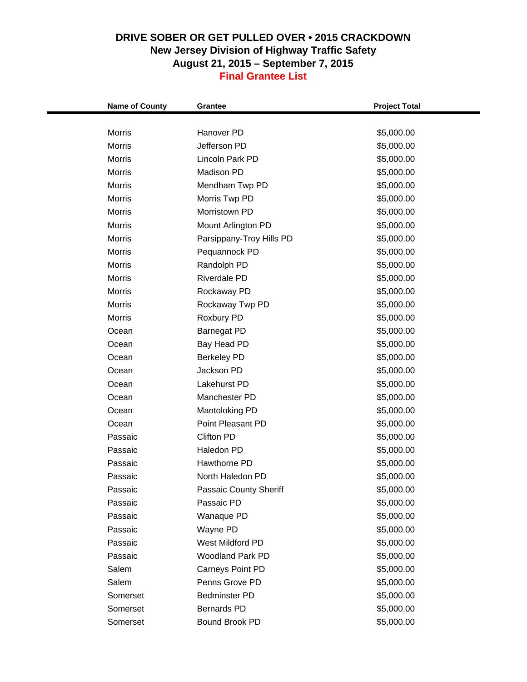| <b>Name of County</b> | Grantee                         | <b>Project Total</b>     |  |
|-----------------------|---------------------------------|--------------------------|--|
| <b>Morris</b>         | Hanover PD                      | \$5,000.00               |  |
| <b>Morris</b>         | Jefferson PD                    | \$5,000.00               |  |
| Morris                | Lincoln Park PD                 |                          |  |
| <b>Morris</b>         | Madison PD                      | \$5,000.00<br>\$5,000.00 |  |
| <b>Morris</b>         |                                 | \$5,000.00               |  |
| <b>Morris</b>         | Mendham Twp PD<br>Morris Twp PD |                          |  |
| <b>Morris</b>         | Morristown PD                   | \$5,000.00               |  |
| <b>Morris</b>         |                                 | \$5,000.00               |  |
| <b>Morris</b>         | Mount Arlington PD              | \$5,000.00               |  |
| <b>Morris</b>         | Parsippany-Troy Hills PD        | \$5,000.00               |  |
|                       | Pequannock PD                   | \$5,000.00               |  |
| <b>Morris</b>         | Randolph PD                     | \$5,000.00               |  |
| <b>Morris</b>         | <b>Riverdale PD</b>             | \$5,000.00               |  |
| <b>Morris</b>         | Rockaway PD                     | \$5,000.00               |  |
| <b>Morris</b>         | Rockaway Twp PD                 | \$5,000.00               |  |
| <b>Morris</b>         | Roxbury PD                      | \$5,000.00               |  |
| Ocean                 | <b>Barnegat PD</b>              | \$5,000.00               |  |
| Ocean                 | Bay Head PD                     | \$5,000.00               |  |
| Ocean                 | <b>Berkeley PD</b>              | \$5,000.00               |  |
| Ocean                 | Jackson PD                      | \$5,000.00               |  |
| Ocean                 | Lakehurst PD                    | \$5,000.00               |  |
| Ocean                 | Manchester PD                   | \$5,000.00               |  |
| Ocean                 | Mantoloking PD                  | \$5,000.00               |  |
| Ocean                 | Point Pleasant PD               | \$5,000.00               |  |
| Passaic               | Clifton PD                      | \$5,000.00               |  |
| Passaic               | Haledon PD                      | \$5,000.00               |  |
| Passaic               | Hawthorne PD                    | \$5,000.00               |  |
| Passaic               | North Haledon PD                | \$5,000.00               |  |
| Passaic               | Passaic County Sheriff          | \$5,000.00               |  |
| Passaic               | Passaic PD                      | \$5,000.00               |  |
| Passaic               | Wanaque PD                      | \$5,000.00               |  |
| Passaic               | Wayne PD                        | \$5,000.00               |  |
| Passaic               | West Mildford PD                | \$5,000.00               |  |
| Passaic               | <b>Woodland Park PD</b>         | \$5,000.00               |  |
| Salem                 | Carneys Point PD                | \$5,000.00               |  |
| Salem                 | Penns Grove PD                  | \$5,000.00               |  |
| Somerset              | <b>Bedminster PD</b>            | \$5,000.00               |  |
| Somerset              | Bernards PD                     | \$5,000.00               |  |
| Somerset              | <b>Bound Brook PD</b>           | \$5,000.00               |  |